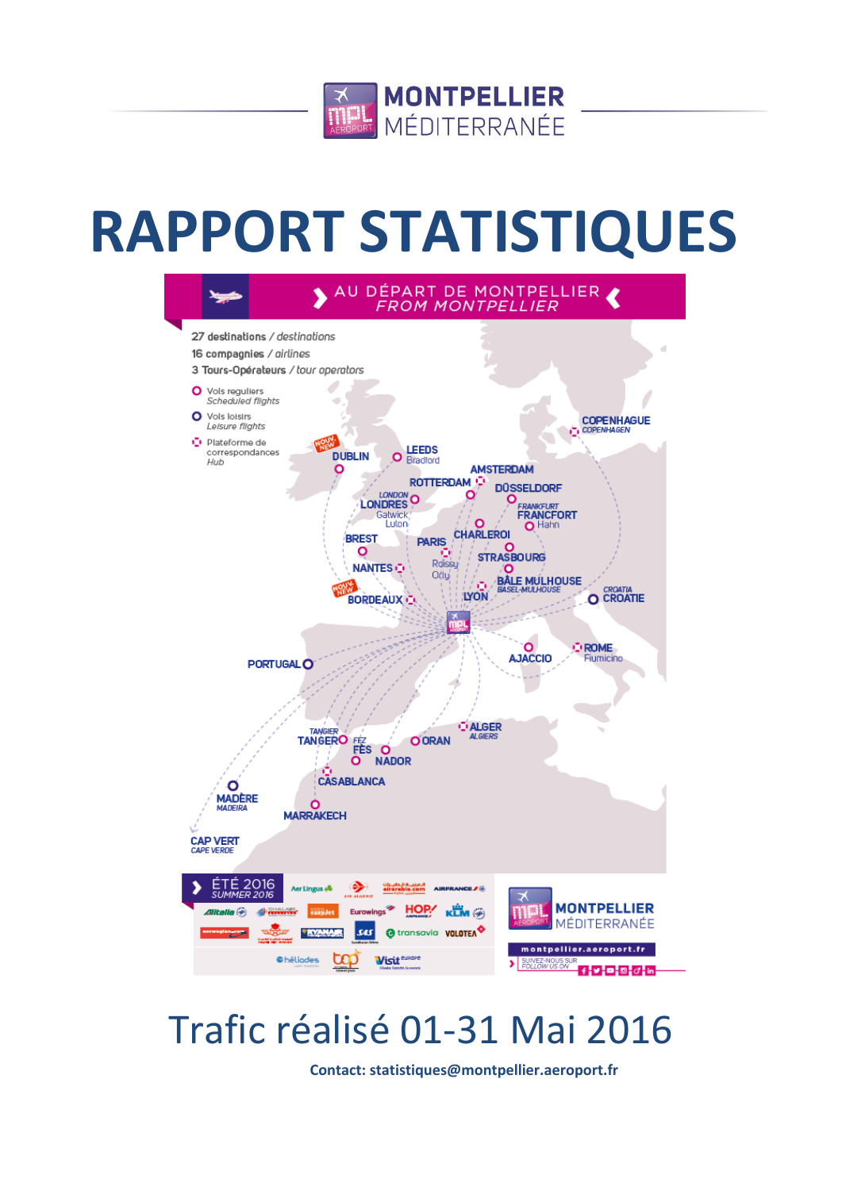

# **RAPPORT STATISTIQUES**



## Trafic réalisé 01-31 Mai 2016

**Contact: statistiques@montpellier.aeroport.fr**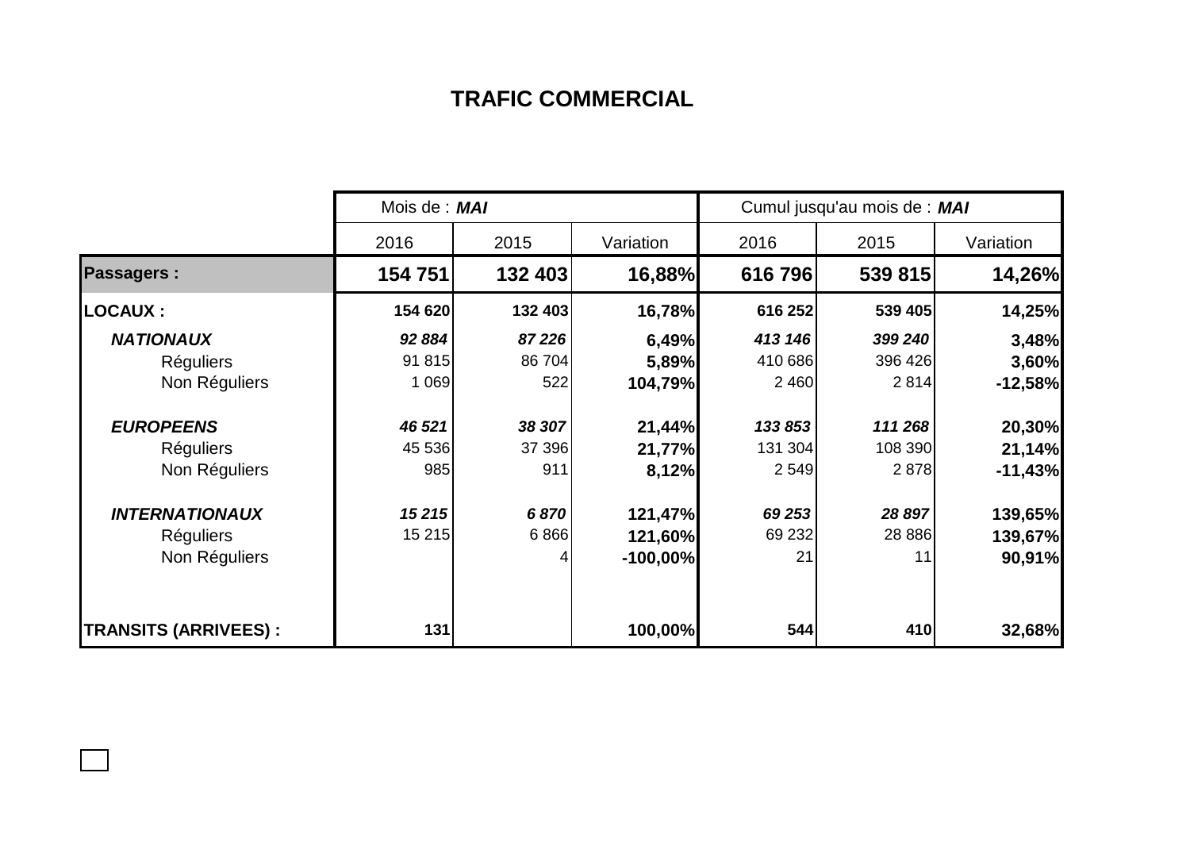## **TRAFIC COMMERCIAL**

|                             | Mois de : MAI |         |            | Cumul jusqu'au mois de : MAI |         |           |  |
|-----------------------------|---------------|---------|------------|------------------------------|---------|-----------|--|
|                             | 2016          | 2015    | Variation  | 2016                         | 2015    | Variation |  |
| <b>Passagers:</b>           | 154 751       | 132 403 | 16,88%     | 616796                       | 539 815 | 14,26%    |  |
| <b>LOCAUX:</b>              | 154 620       | 132 403 | 16,78%     | 616 252                      | 539 405 | 14,25%    |  |
| <b>NATIONAUX</b>            | 92 884        | 87 226  | 6,49%      | 413 146                      | 399 240 | 3,48%     |  |
| <b>Réguliers</b>            | 91 815        | 86 704  | 5,89%      | 410 686                      | 396 426 | 3,60%     |  |
| Non Réguliers               | 1 0 6 9       | 522     | 104,79%    | 2 4 6 0                      | 2814    | $-12,58%$ |  |
| <b>EUROPEENS</b>            | 46 521        | 38 307  | 21,44%     | 133 853                      | 111 268 | 20,30%    |  |
| <b>Réguliers</b>            | 45 536        | 37 396  | 21,77%     | 131 304                      | 108 390 | 21,14%    |  |
| Non Réguliers               | 985           | 911     | 8,12%      | 2 5 4 9                      | 2878    | $-11,43%$ |  |
| <b>INTERNATIONAUX</b>       | 15215         | 6870    | 121,47%    | 69 253                       | 28 897  | 139,65%   |  |
| <b>Réguliers</b>            | 15 215        | 6866    | 121,60%    | 69 232                       | 28 8 86 | 139,67%   |  |
| Non Réguliers               |               |         | $-100,00%$ | 21                           | 11      | 90,91%    |  |
| <b>TRANSITS (ARRIVEES):</b> | 131           |         | 100,00%    | 544                          | 410     | 32,68%    |  |

 $\Box$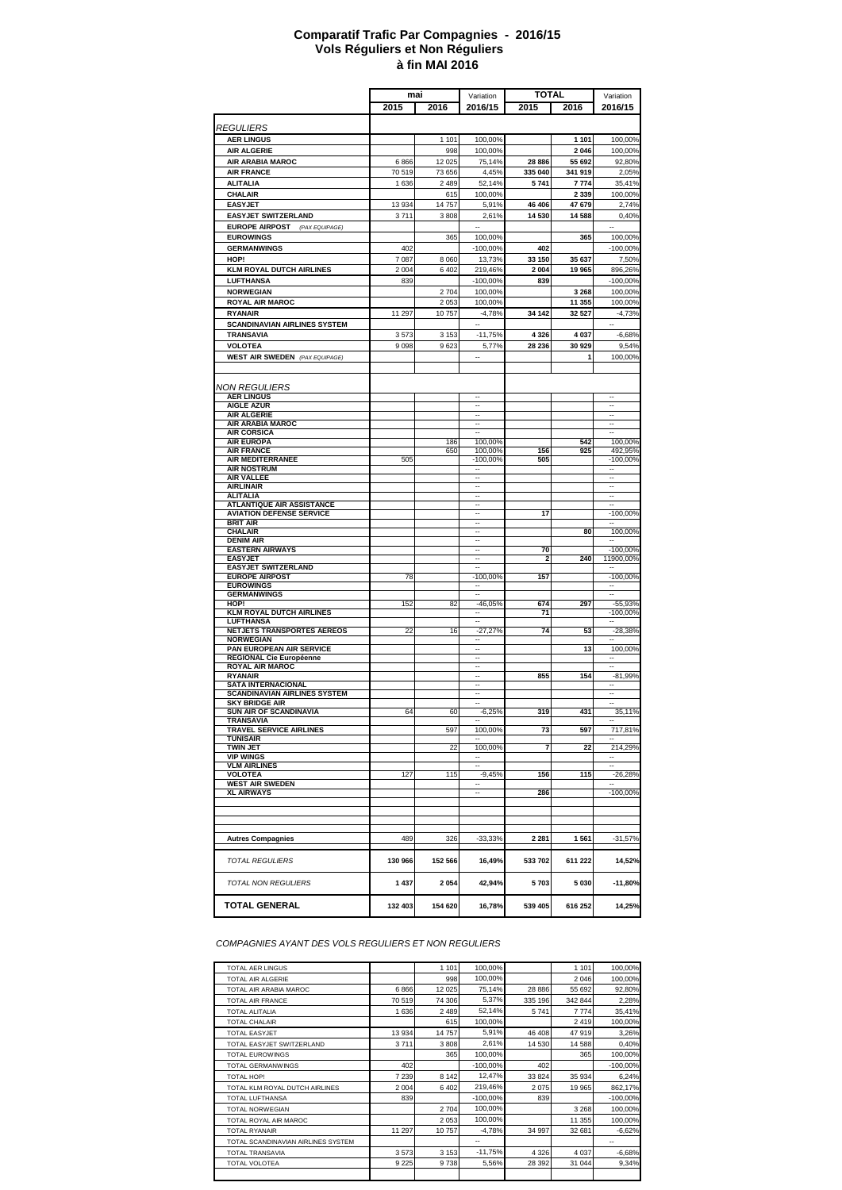#### **à fin MAI 2016 Comparatif Trafic Par Compagnies - 2016/15 Vols Réguliers et Non Réguliers**

|                                                                     | mai     |                 | <b>TOTAL</b><br>Variation                            |                         |                    | Variation                                            |
|---------------------------------------------------------------------|---------|-----------------|------------------------------------------------------|-------------------------|--------------------|------------------------------------------------------|
|                                                                     | 2015    | 2016            | 2016/15                                              | 2015                    | 2016               | 2016/15                                              |
|                                                                     |         |                 |                                                      |                         |                    |                                                      |
| <i>REGULIERS</i>                                                    |         |                 |                                                      |                         |                    |                                                      |
| <b>AER LINGUS</b><br><b>AIR ALGERIE</b>                             |         | 1 1 0 1<br>998  | 100,00%<br>100,00%                                   |                         | 1 1 0 1<br>2 0 4 6 | 100,00%<br>100,00%                                   |
| AIR ARABIA MAROC                                                    | 6866    | 12 025          | 75,14%                                               | 28 886                  | 55 692             | 92,80%                                               |
| <b>AIR FRANCE</b>                                                   | 70519   | 73 656          | 4,45%                                                | 335 040                 | 341 919            | 2,05%                                                |
| <b>ALITALIA</b>                                                     | 1636    | 2 4 8 9         | 52.14%                                               | 5741                    | 7774               | 35,41%                                               |
| CHALAIR                                                             |         | 615             | 100,00%                                              |                         | 2 3 3 9            | 100,00%                                              |
| <b>EASYJET</b>                                                      | 13934   | 14 757          | 5,91%                                                | 46 40 6                 | 47 679             | 2,74%                                                |
| <b>EASYJET SWITZERLAND</b>                                          | 3711    | 3808            | 2,61%                                                | 14 530                  | 14 588             | 0,40%                                                |
| <b>EUROPE AIRPOST</b> (PAX EQUIPAGE)                                |         |                 |                                                      |                         |                    | $\ddot{\phantom{a}}$                                 |
| <b>EUROWINGS</b>                                                    |         | 365             | 100,00%                                              |                         | 365                | 100,00%                                              |
| <b>GERMANWINGS</b>                                                  | 402     |                 | $-100,00%$                                           | 402                     |                    | $-100,00%$                                           |
| HOP!                                                                | 7087    | 8 0 6 0         | 13,73%                                               | 33 150                  | 35 637             | 7,50%                                                |
| <b>KLM ROYAL DUTCH AIRLINES</b>                                     | 2004    | 6 4 0 2         | 219,46%                                              | 2 0 0 4                 | 19 965             | 896,26%                                              |
| <b>LUFTHANSA</b>                                                    | 839     |                 | $-100,00%$                                           | 839                     |                    | $-100,00%$                                           |
| <b>NORWEGIAN</b><br><b>ROYAL AIR MAROC</b>                          |         | 2704<br>2 0 5 3 | 100,00%<br>100,00%                                   |                         | 3 2 6 8<br>11 355  | 100,00%<br>100,00%                                   |
| <b>RYANAIR</b>                                                      | 11 297  | 10757           | $-4,78%$                                             | 34 142                  | 32 527             | $-4,73%$                                             |
| <b>SCANDINAVIAN AIRLINES SYSTEM</b>                                 |         |                 | ۰.                                                   |                         |                    | $\overline{\phantom{a}}$                             |
| TRANSAVIA                                                           | 3573    | 3 1 5 3         | $-11,75%$                                            | 4 3 2 6                 | 4 0 3 7            | $-6,68%$                                             |
| <b>VOLOTEA</b>                                                      | 9098    | 9623            | 5,77%                                                | 28 236                  | 30 929             | 9,54%                                                |
| <b>WEST AIR SWEDEN</b> (PAX EQUIPAGE)                               |         |                 |                                                      |                         |                    | 100,00%                                              |
|                                                                     |         |                 |                                                      |                         |                    |                                                      |
|                                                                     |         |                 |                                                      |                         |                    |                                                      |
| NON REGULIERS                                                       |         |                 | $\overline{\phantom{a}}$                             |                         |                    |                                                      |
| <b>AER LINGUS</b><br><b>AIGLE AZUR</b>                              |         |                 | $\ddotsc$                                            |                         |                    | $\overline{\phantom{a}}$<br>$\ddot{\phantom{a}}$     |
| <b>AIR ALGERIE</b>                                                  |         |                 | --                                                   |                         |                    |                                                      |
| AIR ARABIA MAROC                                                    |         |                 | $\overline{\phantom{a}}$<br>Ξ.                       |                         |                    | $\overline{\phantom{a}}$<br>$\sim$                   |
| <b>AIR CORSICA</b><br><b>AIR EUROPA</b>                             |         | 186             | 100,00%                                              |                         | 542                | 100,00%                                              |
| <b>AIR FRANCE</b>                                                   |         | 650             | 100,00%                                              | 156                     | 925                | 492,95%                                              |
| AIR MEDITERRANEE                                                    | 505     |                 | $-100,00%$                                           | 505                     |                    | $-100,00%$                                           |
| <b>AIR NOSTRUM</b><br><b>AIR VALLEE</b>                             |         |                 | $\overline{\phantom{a}}$<br>$\overline{\phantom{a}}$ |                         |                    | <br>                                                 |
| <b>AIRLINAIR</b>                                                    |         |                 | $\sim$                                               |                         |                    | $\overline{\phantom{a}}$                             |
| <b>ALITALIA</b>                                                     |         |                 | --                                                   |                         |                    | --                                                   |
| <b>ATLANTIQUE AIR ASSISTANCE</b><br><b>AVIATION DEFENSE SERVICE</b> |         |                 | $\ddot{\phantom{a}}$<br>--                           | 17                      |                    | $-100,00%$                                           |
| <b>BRIT AIR</b>                                                     |         |                 | $\overline{a}$                                       |                         |                    |                                                      |
| <b>CHALAIR</b>                                                      |         |                 |                                                      |                         | 80                 | 100,00%                                              |
| <b>DENIM AIR</b><br><b>EASTERN AIRWAYS</b>                          |         |                 | $\overline{\phantom{a}}$<br>$\overline{\phantom{a}}$ | 70                      |                    | $\sim$<br>$-100,00%$                                 |
| <b>EASYJET</b>                                                      |         |                 | $\sim$                                               | $\overline{\mathbf{2}}$ | 240                | 11900,00%                                            |
| <b>EASYJET SWITZERLAND</b>                                          |         |                 | --                                                   |                         |                    |                                                      |
| <b>EUROPE AIRPOST</b>                                               | 78      |                 | $-100,00%$                                           | 157                     |                    | $-100,00%$                                           |
| <b>EUROWINGS</b><br><b>GERMANWINGS</b>                              |         |                 |                                                      |                         |                    |                                                      |
| HOP!                                                                | 152     | 82              | $-46,05%$                                            | 674                     | 297                | $-55,93%$                                            |
| <b>KLM ROYAL DUTCH AIRLINES</b>                                     |         |                 | ۰.                                                   | 71                      |                    | $-100,00%$                                           |
| <b>LUFTHANSA</b><br><b>NETJETS TRANSPORTES AEREOS</b>               | 22      | 16              | $\overline{\phantom{a}}$<br>$-27,27%$                | 74                      | 53                 | $\sim$<br>$-28,38%$                                  |
| <b>NORWEGIAN</b>                                                    |         |                 | --                                                   |                         |                    |                                                      |
| PAN EUROPEAN AIR SERVICE                                            |         |                 | $\overline{\phantom{a}}$                             |                         | 13                 | 100,00%                                              |
| REGIONAL Cie Européenne<br><b>ROYAL AIR MAROC</b>                   |         |                 | Ξ.                                                   |                         |                    | $\overline{\phantom{a}}$                             |
| <b>RYANAIR</b>                                                      |         |                 |                                                      | 855                     | 154                | $-81,99%$                                            |
| <b>SATA INTERNACIONAL</b>                                           |         |                 |                                                      |                         |                    |                                                      |
| <b>SCANDINAVIAN AIRLINES SYSTEM</b>                                 |         |                 | $\overline{\phantom{a}}$<br>$\overline{\phantom{a}}$ |                         |                    | $\overline{\phantom{a}}$<br>$\overline{\phantom{a}}$ |
| <b>SKY BRIDGE AIR</b><br>SUN AIR OF SCANDINAVIA                     | 64      | 60              | $-6,25%$                                             | 319                     | 431                | 35,11%                                               |
| <b>TRANSAVIA</b>                                                    |         |                 |                                                      |                         |                    |                                                      |
| <b>TRAVEL SERVICE AIRLINES</b>                                      |         | 597             | 100,00%                                              | 73                      | 597                | 717,81%                                              |
| <b>TUNISAIR</b><br>TWIN JET                                         |         | 22              | 100,00%                                              | 7                       | 22                 | 214,29%                                              |
| <b>VIP WINGS</b>                                                    |         |                 |                                                      |                         |                    |                                                      |
| <b>VLM AIRLINES</b>                                                 |         |                 | --                                                   |                         |                    | $\overline{\phantom{a}}$                             |
| <b>VOLOTEA</b><br><b>WEST AIR SWEDEN</b>                            | 127     | 115             | $-9,45%$<br>$\overline{\phantom{a}}$                 | 156                     | 115                | $-26,28%$                                            |
| <b>XL AIRWAYS</b>                                                   |         |                 | --                                                   | 286                     |                    | $-100,00%$                                           |
|                                                                     |         |                 |                                                      |                         |                    |                                                      |
|                                                                     |         |                 |                                                      |                         |                    |                                                      |
|                                                                     |         |                 |                                                      |                         |                    |                                                      |
| <b>Autres Compagnies</b>                                            | 489     | 326             | $-33,33%$                                            | 2 2 8 1                 | 1561               | $-31,57%$                                            |
|                                                                     |         |                 |                                                      |                         |                    |                                                      |
| <b>TOTAL REGULIERS</b>                                              | 130 966 | 152 566         | 16,49%                                               | 533 702                 | 611 222            | 14,52%                                               |
|                                                                     |         |                 |                                                      |                         |                    |                                                      |
| <b>TOTAL NON REGULIERS</b>                                          | 1 437   | 2054            | 42,94%                                               | 5703                    | 5 0 3 0            | $-11,80%$                                            |
| <b>TOTAL GENERAL</b>                                                | 132 403 | 154 620         | 16,78%                                               | 539 405                 | 616 252            | 14,25%                                               |
|                                                                     |         |                 |                                                      |                         |                    |                                                      |

*COMPAGNIES AYANT DES VOLS REGULIERS ET NON REGULIERS*

| TOTAL AFR LINGUS                   |         | 1 1 0 1 | 100.00%        |          | 1 1 0 1 |                          |
|------------------------------------|---------|---------|----------------|----------|---------|--------------------------|
|                                    |         |         |                |          |         | 100.00%                  |
| <b>TOTAL AIR ALGERIE</b>           |         | 998     | 100,00%        |          | 2046    | 100.00%                  |
| TOTAL AIR ARABIA MAROC             | 6866    | 12 0 25 | 75,14%         | 28 8 86  | 55 692  | 92,80%                   |
| TOTAL AIR FRANCE                   | 70519   | 74 306  | 5,37%          | 335 196  | 342 844 | 2,28%                    |
| TOTAL ALITALIA                     | 1636    | 2 4 8 9 | 52,14%         | 5741     | 7774    | 35,41%                   |
| <b>TOTAL CHALAIR</b>               |         | 615     | 100,00%        |          | 2419    | 100,00%                  |
| TOTAL FASY.JFT                     | 13934   | 14 757  | 5,91%          | 46 408   | 47919   | 3.26%                    |
| TOTAL EASYJET SWITZERLAND          | 3711    | 3808    | 2,61%          | 14 530   | 14 588  | 0.40%                    |
| <b>TOTAL FUROWINGS</b>             |         | 365     | 100,00%        |          | 365     | 100,00%                  |
| <b>TOTAL GERMANWINGS</b>           | 402     |         | $-100.00\%$    | 402      |         | $-100.00\%$              |
| TOTAL HOP!                         | 7 2 3 9 | 8 1 4 2 | 12.47%         | 33 824   | 35 934  | 6,24%                    |
| TOTAL KLM ROYAL DUTCH AIRLINES     | 2004    | 6 4 0 2 | 219,46%        | 2075     | 19 965  | 862,17%                  |
| TOTAL LUFTHANSA                    | 839     |         | $-100.00\%$    | 839      |         | $-100,00%$               |
| <b>TOTAL NORWEGIAN</b>             |         | 2 7 0 4 | 100,00%        |          | 3 2 6 8 | 100.00%                  |
| TOTAL ROYAL AIR MAROC              |         | 2 0 5 3 | 100.00%        |          | 11 355  | 100,00%                  |
| <b>TOTAL RYANAIR</b>               | 11 297  | 10757   | $-4.78%$       | 34 997   | 32 681  | $-6,62%$                 |
| TOTAL SCANDINAVIAN AIRLINES SYSTEM |         |         | $\overline{a}$ |          |         | $\overline{\phantom{a}}$ |
| <b>TOTAI TRANSAVIA</b>             | 3573    | 3 1 5 3 | $-11,75%$      | 4 3 2 6  | 4 0 3 7 | $-6,68%$                 |
| TOTAL VOLOTEA                      | 9 2 2 5 | 9738    | 5.56%          | 28 3 9 2 | 31 044  | 9,34%                    |
|                                    |         |         |                |          |         |                          |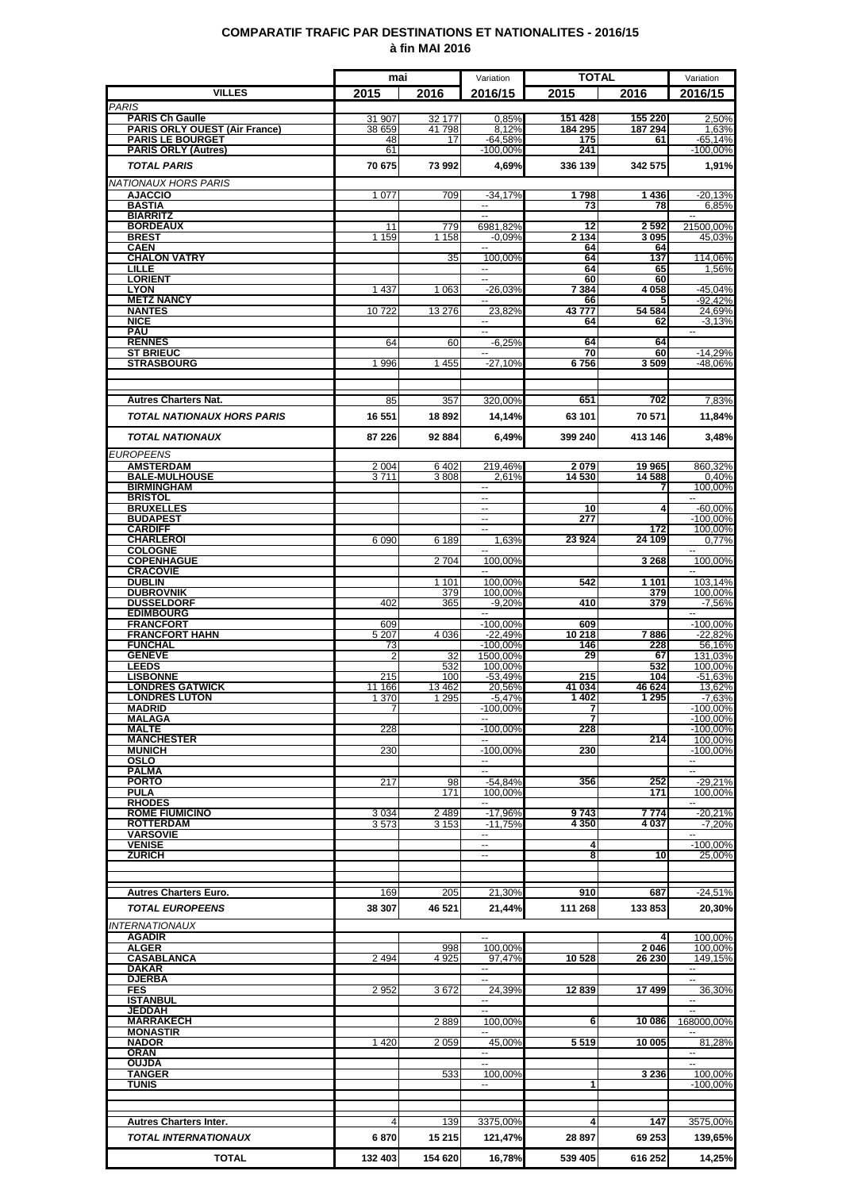### **COMPARATIF TRAFIC PAR DESTINATIONS ET NATIONALITES - 2016/15 à fin MAI 2016**

|                                                       | mai             |                    | Variation                                            | <b>TOTAL</b>   |                   | Variation                              |
|-------------------------------------------------------|-----------------|--------------------|------------------------------------------------------|----------------|-------------------|----------------------------------------|
| <b>VILLES</b>                                         | 2015            | 2016               | 2016/15                                              | 2015           | 2016              | 2016/15                                |
| <b>PARIS</b><br><b>PARIS Ch Gaulle</b>                | 31 907          | 32 177             | 0,85%                                                | 151 428        | 155 220           | 2.50%                                  |
| <b>PARIS ORLY OUEST (Air France)</b>                  | 38 659          | 41798              | 8,12%                                                | 184 295        | 187 294           | 1,63%                                  |
| <b>PARIS LE BOURGET</b><br><b>PARIS ORLY (Autres)</b> | 48<br>61        | 17                 | $-64,58%$<br>$-100,00%$                              | 175<br>241     | 61                | $-65,14%$<br>$-100,00%$                |
| <b>TOTAL PARIS</b>                                    | 70 675          | 73 992             | 4.69%                                                | 336 139        | 342 575           | 1,91%                                  |
| <b>NATIONAUX HORS PARIS</b>                           |                 |                    |                                                      |                |                   |                                        |
| <b>AJACCIO</b>                                        | 1 0 7 7         | 709                | $-34,17%$                                            | 1798           | 1436              | $-20,13%$                              |
| <b>BASTIA</b><br><b>BIARRITZ</b>                      |                 |                    | $\overline{\phantom{a}}$<br>$\overline{\phantom{a}}$ | 73             | 78                | 6,85%<br>$\sim$                        |
| <b>BORDEAUX</b>                                       | 11              | 779                | 6981,82%                                             | 12             | 2592              | 21500.00%                              |
| <b>BREST</b><br><b>CAEN</b>                           | 1 159           | 1 1 5 8            | $-0.09%$                                             | 2 134<br>64    | 3095<br>64        | 45,03%                                 |
| <b>CHALON VATRY</b><br>LILLE                          |                 | 35                 | 100,00%                                              | 64<br>64       | 137               | 114,06%                                |
| <b>LORIENT</b>                                        |                 |                    | --                                                   | 60             | 65<br>60          | 1,56%                                  |
| <b>LYON</b><br><b>METZ NANCY</b>                      | 1 4 3 7         | 1 0 6 3            | $-26.03%$                                            | 7 384<br>66    | 4 0 5 8<br>5      | $-45,04%$<br>$-92,42%$                 |
| <b>NANTES</b>                                         | 10722           | 13 276             | --<br>23,82%                                         | 43777          | 54 584            | 24,69%                                 |
| <b>NICE</b><br><b>PAU</b>                             |                 |                    | --<br>$\sim$                                         | 64             | 62                | $-3,13%$<br>$\mathbf{u}$               |
| <b>RENNES</b>                                         | 64              | 60                 | $-6,25%$                                             | 64             | 64                |                                        |
| <b>ST BRIEUC</b><br><b>STRASBOURG</b>                 | 1996            | 1455               | $-27,10%$                                            | 70<br>6756     | 60<br>3509        | $-14,29%$<br>-48,06%                   |
|                                                       |                 |                    |                                                      |                |                   |                                        |
|                                                       |                 |                    |                                                      |                |                   |                                        |
| <b>Autres Charters Nat.</b>                           | 85              | 357                | 320,00%                                              | 651            | 702               | 7,83%                                  |
| <b>TOTAL NATIONAUX HORS PARIS</b>                     | 16 551          | 18892              | 14,14%                                               | 63 101         | 70 571            | 11,84%                                 |
| <b>TOTAL NATIONAUX</b>                                | 87 226          | 92 884             | 6,49%                                                | 399 240        | 413 146           | 3,48%                                  |
| <b>EUROPEENS</b>                                      |                 |                    |                                                      |                |                   |                                        |
| <b>AMSTERDAM</b><br><b>BALE-MULHOUSE</b>              | 2 0 0 4<br>3711 | 6402<br>3808       | 219.46%<br>2.61%                                     | 2079<br>14 530 | 19 965<br>14 588  | 860,32%<br>0,40%                       |
| <b>BIRMINGHAM</b>                                     |                 |                    | ш.                                                   |                | 7                 | 100,00%                                |
| <b>BRISTOL</b><br><b>BRUXELLES</b>                    |                 |                    | $\sim$<br>--                                         | 10             | 4                 | $-60,00%$                              |
| <b>BUDAPEST</b>                                       |                 |                    | $\sim$                                               | 277            |                   | $-100,00%$                             |
| <b>CARDIFF</b><br><b>CHARLEROI</b>                    | 6 0 9 0         | 6 189              | н.<br>1.63%                                          | 23 9 24        | 172<br>24 109     | 100,00%<br>0.77%                       |
| <b>COLOGNE</b>                                        |                 |                    |                                                      |                |                   | $\overline{a}$                         |
| <b>COPENHAGUE</b><br><b>CRACOVIE</b>                  |                 | 2 7 0 4            | 100,00%<br>--                                        |                | 3 268             | 100,00%<br>--                          |
| <b>DUBLIN</b>                                         |                 | 1 1 0 1            | 100,00%                                              | 542            | 1 1 0 1           | 103,14%                                |
| <b>DUBROVNIK</b><br><b>DUSSELDORF</b>                 | 402             | 379<br>365         | 100,00%<br>$-9.20%$                                  | 410            | 379<br>379        | 100,00%<br>$-7,56%$                    |
| <b>EDIMBOURG</b>                                      |                 |                    |                                                      |                |                   |                                        |
| <b>FRANCFORT</b><br><b>FRANCFORT HAHN</b>             | 609<br>5 2 0 7  | 4 0 3 6            | $-100,00%$<br>$-22,49%$                              | 609<br>10218   | 7886              | $-100.00\%$<br>$-22,82%$               |
| <b>FUNCHAL</b>                                        | 73              |                    | $-100.00%$                                           | 146            | 228               | 56,16%                                 |
| <b>GENEVE</b><br><b>LEEDS</b>                         |                 | 32<br>532          | 1500,00%<br>100,00%                                  | 29             | 67<br>532         | 131,03%<br>100,00%                     |
| <b>LISBONNE</b>                                       | 215             | 100                | $-53,49%$                                            | 215            | 104               | $-51,63%$                              |
| <b>LONDRES GATWICK</b><br><b>LONDRES LUTON</b>        | 11 166<br>1 370 | 13 4 62<br>1 2 9 5 | 20,56%<br>$-5,47%$                                   | 41 034<br>1402 | 46 624<br>1 2 9 5 | 13,62%<br>$-7,63%$                     |
| <b>MADRID</b>                                         | $\overline{7}$  |                    | $-100,00\%$                                          | 7<br>7         |                   | $-100,00\%$<br>$-100,00%$              |
| <b>MALAGA</b><br><b>MALTE</b>                         | 228             |                    | $-100,00%$                                           | 228            |                   | $-100,00%$                             |
| <b>MANCHESTER</b><br><b>MUNICH</b>                    | 230             |                    | $-100,00%$                                           | 230            | 214               | 100,00%<br>$-100,00%$                  |
| OSLO                                                  |                 |                    |                                                      |                |                   |                                        |
| <b>PALMA</b><br><b>PORTO</b>                          | 217             | 98                 | н.<br>$-54,84%$                                      | 356            | 252               | щ.<br>-29,21%                          |
| <b>PULA</b>                                           |                 | 171                | 100,00%                                              |                | 171               | 100,00%                                |
| <b>RHODES</b><br><b>ROME FIUMICINO</b>                | 3034            | 2489               | $-17,96%$                                            | 9743           | 7 774             | $-20,21%$                              |
| <b>ROTTERDAM</b>                                      | 3573            | 3 1 5 3            | $-11,75%$                                            | 4 350          | 4 0 3 7           | $-7,20%$                               |
| <b>VARSOVIE</b><br><b>VENISE</b>                      |                 |                    | н.<br>$\overline{\phantom{a}}$                       | $\overline{4}$ |                   | $\overline{\phantom{a}}$<br>$-100,00%$ |
| <b>ZURICH</b>                                         |                 |                    | ⊶.                                                   | 8              | 10                | 25,00%                                 |
|                                                       |                 |                    |                                                      |                |                   |                                        |
| <b>Autres Charters Euro.</b>                          | 169             | 205                | 21,30%                                               | 910            | 687               | $-24,51%$                              |
| <b>TOTAL EUROPEENS</b>                                | 38 307          | 46 521             | 21,44%                                               | 111 268        | 133853            | 20,30%                                 |
| <b>INTERNATIONAUX</b>                                 |                 |                    |                                                      |                |                   |                                        |
| <b>AGADIR</b>                                         |                 |                    | $\sim$                                               |                | 4                 | 100,00%                                |
| <b>ALGER</b><br><b>CASABLANCA</b>                     | 2 4 9 4         | 998<br>4 9 2 5     | 100,00%<br>97,47%                                    | 10 528         | 2046<br>26 230    | 100,00%<br>149,15%                     |
| <b>DAKAR</b>                                          |                 |                    | --                                                   |                |                   | $\overline{\phantom{a}}$               |
| <b>DJERBA</b><br><b>FES</b>                           | 2952            | 3672               | н.<br>24,39%                                         | 12839          | 17499             | $\sim$<br>36,30%                       |
| <b>ISTANBUL</b>                                       |                 |                    | −−                                                   |                |                   | ۰.                                     |
| <b>JEDDAH</b><br><b>MARRAKECH</b>                     |                 | 2889               | 100,00%                                              | 6              | 10 086            | 168000,00%                             |
| <b>MONASTIR</b>                                       |                 |                    |                                                      |                |                   |                                        |
| <b>NADOR</b><br><b>ORAN</b>                           | 1420            | 2 0 5 9            | 45.00%<br>$\overline{\phantom{a}}$                   | 5 5 1 9        | 10 005            | 81,28%<br>$\mathbf{u}$                 |
| OUJDA                                                 |                 |                    | --                                                   |                |                   | $\overline{\phantom{a}}$               |
| <b>TANGER</b><br><b>TUNIS</b>                         |                 | 533                | 100,00%<br>۰.                                        | $\mathbf{1}$   | 3 2 3 6           | 100,00%<br>$-100,00%$                  |
|                                                       |                 |                    |                                                      |                |                   |                                        |
| <b>Autres Charters Inter.</b>                         | 4               |                    |                                                      | $\frac{4}{ }$  | 147               |                                        |
| TOTAL INTERNATIONAUX                                  | 6870            | 139                | 3375,00%                                             | 28 897         |                   | 3575,00%                               |
|                                                       |                 | 15 215             | 121,47%                                              |                | 69 253            | 139,65%                                |
| <b>TOTAL</b>                                          | 132 403         | 154 620            | 16,78%                                               | 539 405        | 616 252           | 14,25%                                 |